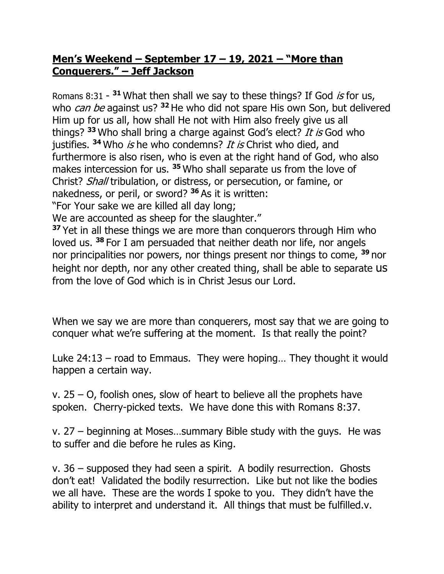## **Men's Weekend – September 17 – 19, 2021 – "More than Conquerers." – Jeff Jackson**

Romans  $8:31 - 31$  What then shall we say to these things? If God *is* for us, who can be against us? **<sup>32</sup>** He who did not spare His own Son, but delivered Him up for us all, how shall He not with Him also freely give us all things? **<sup>33</sup>** Who shall bring a charge against God's elect? It is God who justifies. <sup>34</sup> Who is he who condemns? It is Christ who died, and furthermore is also risen, who is even at the right hand of God, who also makes intercession for us. **<sup>35</sup>** Who shall separate us from the love of Christ? Shall tribulation, or distress, or persecution, or famine, or nakedness, or peril, or sword? **<sup>36</sup>** As it is written: "For Your sake we are killed all day long;

We are accounted as sheep for the slaughter."

**<sup>37</sup>** Yet in all these things we are more than conquerors through Him who loved us. **<sup>38</sup>** For I am persuaded that neither death nor life, nor angels nor principalities nor powers, nor things present nor things to come, **<sup>39</sup>** nor height nor depth, nor any other created thing, shall be able to separate us from the love of God which is in Christ Jesus our Lord.

When we say we are more than conquerers, most say that we are going to conquer what we're suffering at the moment. Is that really the point?

Luke 24:13 – road to Emmaus. They were hoping… They thought it would happen a certain way.

v.  $25 - O$ , foolish ones, slow of heart to believe all the prophets have spoken. Cherry-picked texts. We have done this with Romans 8:37.

v. 27 – beginning at Moses…summary Bible study with the guys. He was to suffer and die before he rules as King.

v. 36 – supposed they had seen a spirit. A bodily resurrection. Ghosts don't eat! Validated the bodily resurrection. Like but not like the bodies we all have. These are the words I spoke to you. They didn't have the ability to interpret and understand it. All things that must be fulfilled.v.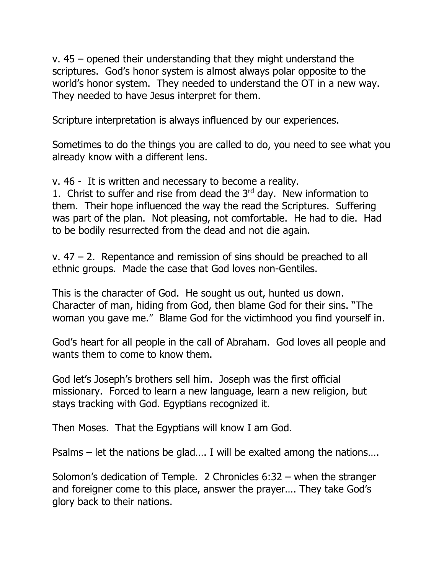v. 45 – opened their understanding that they might understand the scriptures. God's honor system is almost always polar opposite to the world's honor system. They needed to understand the OT in a new way. They needed to have Jesus interpret for them.

Scripture interpretation is always influenced by our experiences.

Sometimes to do the things you are called to do, you need to see what you already know with a different lens.

v. 46 - It is written and necessary to become a reality.

1. Christ to suffer and rise from dead the  $3<sup>rd</sup>$  day. New information to them. Their hope influenced the way the read the Scriptures. Suffering was part of the plan. Not pleasing, not comfortable. He had to die. Had to be bodily resurrected from the dead and not die again.

 $v.$  47 – 2. Repentance and remission of sins should be preached to all ethnic groups. Made the case that God loves non-Gentiles.

This is the character of God. He sought us out, hunted us down. Character of man, hiding from God, then blame God for their sins. "The woman you gave me." Blame God for the victimhood you find yourself in.

God's heart for all people in the call of Abraham. God loves all people and wants them to come to know them.

God let's Joseph's brothers sell him. Joseph was the first official missionary. Forced to learn a new language, learn a new religion, but stays tracking with God. Egyptians recognized it.

Then Moses. That the Egyptians will know I am God.

Psalms – let the nations be glad…. I will be exalted among the nations….

Solomon's dedication of Temple. 2 Chronicles 6:32 – when the stranger and foreigner come to this place, answer the prayer…. They take God's glory back to their nations.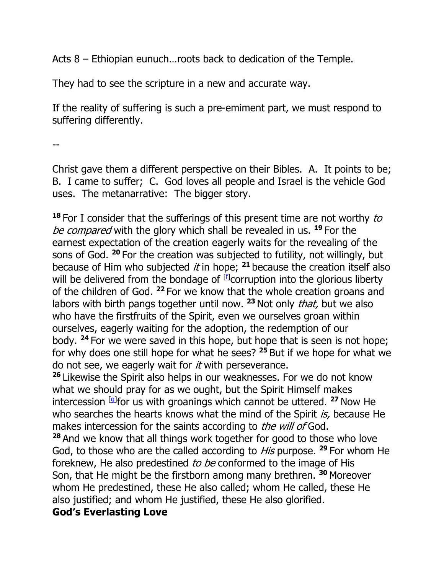Acts 8 – Ethiopian eunuch…roots back to dedication of the Temple.

They had to see the scripture in a new and accurate way.

If the reality of suffering is such a pre-emiment part, we must respond to suffering differently.

--

Christ gave them a different perspective on their Bibles. A. It points to be; B. I came to suffer; C. God loves all people and Israel is the vehicle God uses. The metanarrative: The bigger story.

**<sup>18</sup>** For I consider that the sufferings of this present time are not worthy to be compared with the glory which shall be revealed in us. **<sup>19</sup>** For the earnest expectation of the creation eagerly waits for the revealing of the sons of God. **<sup>20</sup>** For the creation was subjected to futility, not willingly, but because of Him who subjected *it* in hope;  $21$  because the creation itself also will be delivered from the bondage of  $[*f*]$  corruption into the glorious liberty of the children of God. **<sup>22</sup>** For we know that the whole creation groans and labors with birth pangs together until now. **<sup>23</sup>** Not only that, but we also who have the firstfruits of the Spirit, even we ourselves groan within ourselves, eagerly waiting for the adoption, the redemption of our body. **<sup>24</sup>** For we were saved in this hope, but hope that is seen is not hope; for why does one still hope for what he sees? **<sup>25</sup>** But if we hope for what we do not see, we eagerly wait for *it* with perseverance.

**<sup>26</sup>** Likewise the Spirit also helps in our weaknesses. For we do not know what we should pray for as we ought, but the Spirit Himself makes intercession [g] for us with groanings which cannot be uttered. **<sup>27</sup>** Now He who searches the hearts knows what the mind of the Spirit is, because He makes intercession for the saints according to *the will of* God.

**<sup>28</sup>** And we know that all things work together for good to those who love God, to those who are the called according to His purpose. **<sup>29</sup>** For whom He foreknew, He also predestined to be conformed to the image of His Son, that He might be the firstborn among many brethren. **<sup>30</sup>** Moreover whom He predestined, these He also called; whom He called, these He also justified; and whom He justified, these He also glorified.

## **God's Everlasting Love**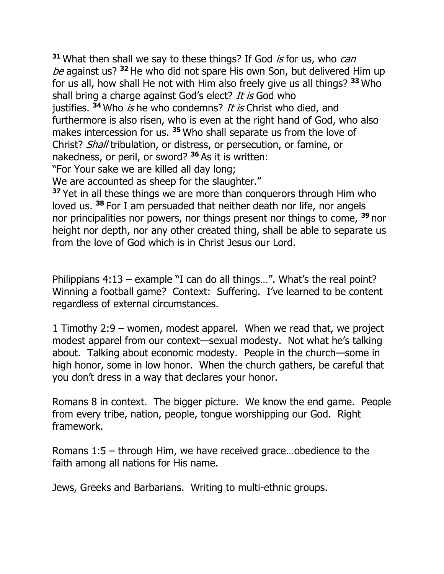**31** What then shall we say to these things? If God *is* for us, who *can* be against us? **<sup>32</sup>** He who did not spare His own Son, but delivered Him up for us all, how shall He not with Him also freely give us all things? **<sup>33</sup>** Who shall bring a charge against God's elect? It is God who justifies. <sup>34</sup> Who is he who condemns? It is Christ who died, and furthermore is also risen, who is even at the right hand of God, who also makes intercession for us. **<sup>35</sup>** Who shall separate us from the love of Christ? Shall tribulation, or distress, or persecution, or famine, or nakedness, or peril, or sword? **<sup>36</sup>** As it is written: "For Your sake we are killed all day long;

We are accounted as sheep for the slaughter."

**<sup>37</sup>** Yet in all these things we are more than conquerors through Him who loved us. **<sup>38</sup>** For I am persuaded that neither death nor life, nor angels nor principalities nor powers, nor things present nor things to come, **<sup>39</sup>** nor height nor depth, nor any other created thing, shall be able to separate us from the love of God which is in Christ Jesus our Lord.

Philippians 4:13 – example "I can do all things…". What's the real point? Winning a football game? Context: Suffering. I've learned to be content regardless of external circumstances.

1 Timothy 2:9 – women, modest apparel. When we read that, we project modest apparel from our context—sexual modesty. Not what he's talking about. Talking about economic modesty. People in the church—some in high honor, some in low honor. When the church gathers, be careful that you don't dress in a way that declares your honor.

Romans 8 in context. The bigger picture. We know the end game. People from every tribe, nation, people, tongue worshipping our God. Right framework.

Romans 1:5 – through Him, we have received grace…obedience to the faith among all nations for His name.

Jews, Greeks and Barbarians. Writing to multi-ethnic groups.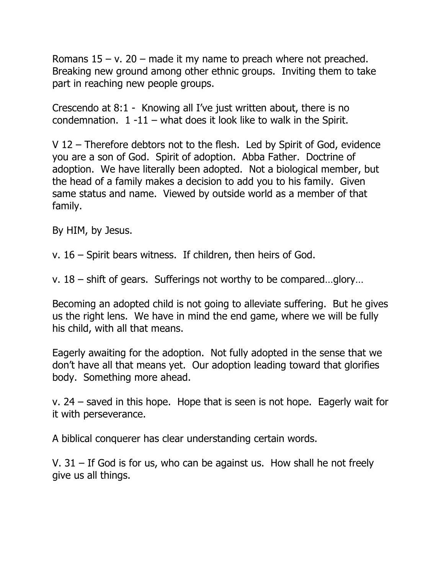Romans  $15 - v$ . 20 – made it my name to preach where not preached. Breaking new ground among other ethnic groups. Inviting them to take part in reaching new people groups.

Crescendo at 8:1 - Knowing all I've just written about, there is no condemnation.  $1 -11 -$  what does it look like to walk in the Spirit.

V 12 – Therefore debtors not to the flesh. Led by Spirit of God, evidence you are a son of God. Spirit of adoption. Abba Father. Doctrine of adoption. We have literally been adopted. Not a biological member, but the head of a family makes a decision to add you to his family. Given same status and name. Viewed by outside world as a member of that family.

By HIM, by Jesus.

v. 16 – Spirit bears witness. If children, then heirs of God.

v. 18 – shift of gears. Sufferings not worthy to be compared…glory…

Becoming an adopted child is not going to alleviate suffering. But he gives us the right lens. We have in mind the end game, where we will be fully his child, with all that means.

Eagerly awaiting for the adoption. Not fully adopted in the sense that we don't have all that means yet. Our adoption leading toward that glorifies body. Something more ahead.

v. 24 – saved in this hope. Hope that is seen is not hope. Eagerly wait for it with perseverance.

A biblical conquerer has clear understanding certain words.

V. 31 – If God is for us, who can be against us. How shall he not freely give us all things.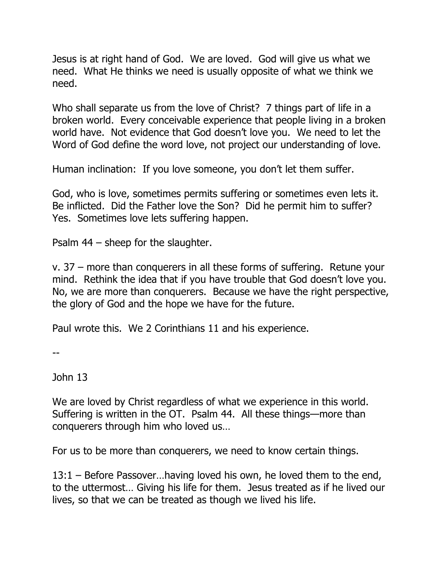Jesus is at right hand of God. We are loved. God will give us what we need. What He thinks we need is usually opposite of what we think we need.

Who shall separate us from the love of Christ? 7 things part of life in a broken world. Every conceivable experience that people living in a broken world have. Not evidence that God doesn't love you. We need to let the Word of God define the word love, not project our understanding of love.

Human inclination: If you love someone, you don't let them suffer.

God, who is love, sometimes permits suffering or sometimes even lets it. Be inflicted. Did the Father love the Son? Did he permit him to suffer? Yes. Sometimes love lets suffering happen.

Psalm 44 – sheep for the slaughter.

v. 37 – more than conquerers in all these forms of suffering. Retune your mind. Rethink the idea that if you have trouble that God doesn't love you. No, we are more than conquerers. Because we have the right perspective, the glory of God and the hope we have for the future.

Paul wrote this. We 2 Corinthians 11 and his experience.

--

John 13

We are loved by Christ regardless of what we experience in this world. Suffering is written in the OT. Psalm 44. All these things—more than conquerers through him who loved us…

For us to be more than conquerers, we need to know certain things.

13:1 – Before Passover…having loved his own, he loved them to the end, to the uttermost… Giving his life for them. Jesus treated as if he lived our lives, so that we can be treated as though we lived his life.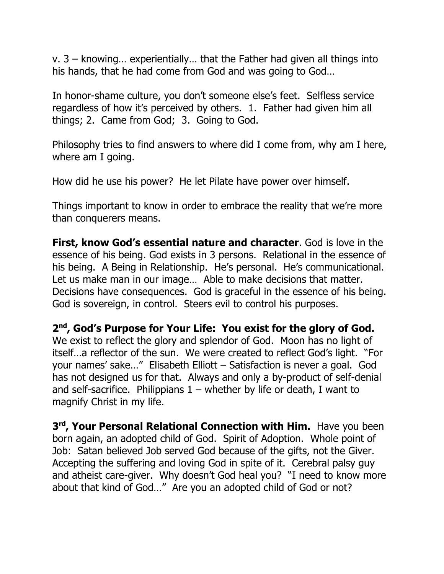v. 3 – knowing… experientially… that the Father had given all things into his hands, that he had come from God and was going to God…

In honor-shame culture, you don't someone else's feet. Selfless service regardless of how it's perceived by others. 1. Father had given him all things; 2. Came from God; 3. Going to God.

Philosophy tries to find answers to where did I come from, why am I here, where am I going.

How did he use his power? He let Pilate have power over himself.

Things important to know in order to embrace the reality that we're more than conquerers means.

**First, know God's essential nature and character**. God is love in the essence of his being. God exists in 3 persons. Relational in the essence of his being. A Being in Relationship. He's personal. He's communicational. Let us make man in our image… Able to make decisions that matter. Decisions have consequences. God is graceful in the essence of his being. God is sovereign, in control. Steers evil to control his purposes.

**2nd, God's Purpose for Your Life: You exist for the glory of God.** We exist to reflect the glory and splendor of God. Moon has no light of itself…a reflector of the sun. We were created to reflect God's light. "For your names' sake…" Elisabeth Elliott – Satisfaction is never a goal. God has not designed us for that. Always and only a by-product of self-denial and self-sacrifice. Philippians  $1$  – whether by life or death, I want to magnify Christ in my life.

**3rd, Your Personal Relational Connection with Him.** Have you been born again, an adopted child of God. Spirit of Adoption. Whole point of Job: Satan believed Job served God because of the gifts, not the Giver. Accepting the suffering and loving God in spite of it. Cerebral palsy guy and atheist care-giver. Why doesn't God heal you? "I need to know more about that kind of God…" Are you an adopted child of God or not?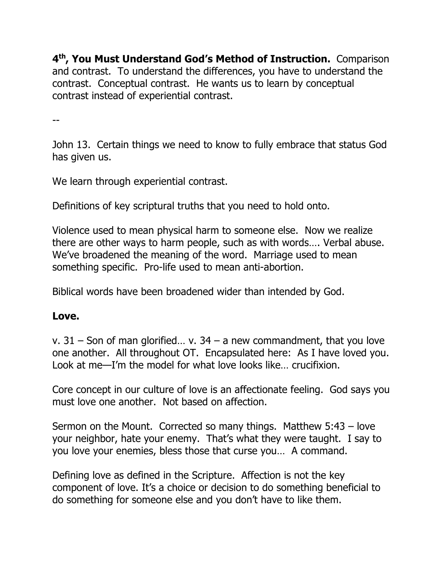**4th, You Must Understand God's Method of Instruction.** Comparison and contrast. To understand the differences, you have to understand the contrast. Conceptual contrast. He wants us to learn by conceptual contrast instead of experiential contrast.

--

John 13. Certain things we need to know to fully embrace that status God has given us.

We learn through experiential contrast.

Definitions of key scriptural truths that you need to hold onto.

Violence used to mean physical harm to someone else. Now we realize there are other ways to harm people, such as with words…. Verbal abuse. We've broadened the meaning of the word. Marriage used to mean something specific. Pro-life used to mean anti-abortion.

Biblical words have been broadened wider than intended by God.

## **Love.**

v.  $31 -$  Son of man glorified... v.  $34 - a$  new commandment, that you love one another. All throughout OT. Encapsulated here: As I have loved you. Look at me—I'm the model for what love looks like… crucifixion.

Core concept in our culture of love is an affectionate feeling. God says you must love one another. Not based on affection.

Sermon on the Mount. Corrected so many things. Matthew 5:43 – love your neighbor, hate your enemy. That's what they were taught. I say to you love your enemies, bless those that curse you… A command.

Defining love as defined in the Scripture. Affection is not the key component of love. It's a choice or decision to do something beneficial to do something for someone else and you don't have to like them.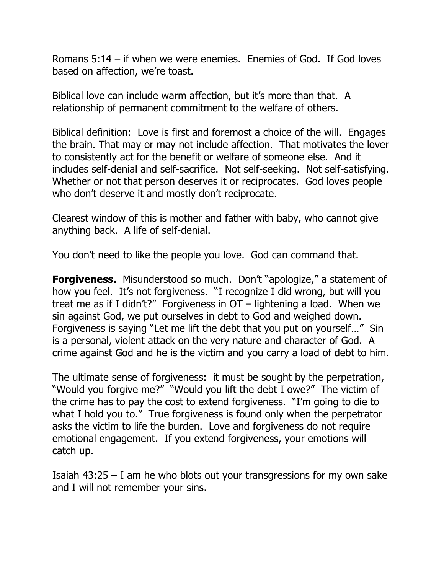Romans 5:14 – if when we were enemies. Enemies of God. If God loves based on affection, we're toast.

Biblical love can include warm affection, but it's more than that. A relationship of permanent commitment to the welfare of others.

Biblical definition: Love is first and foremost a choice of the will. Engages the brain. That may or may not include affection. That motivates the lover to consistently act for the benefit or welfare of someone else. And it includes self-denial and self-sacrifice. Not self-seeking. Not self-satisfying. Whether or not that person deserves it or reciprocates. God loves people who don't deserve it and mostly don't reciprocate.

Clearest window of this is mother and father with baby, who cannot give anything back. A life of self-denial.

You don't need to like the people you love. God can command that.

**Forgiveness.** Misunderstood so much. Don't "apologize," a statement of how you feel. It's not forgiveness. "I recognize I did wrong, but will you treat me as if I didn't?" Forgiveness in OT – lightening a load. When we sin against God, we put ourselves in debt to God and weighed down. Forgiveness is saying "Let me lift the debt that you put on yourself…" Sin is a personal, violent attack on the very nature and character of God. A crime against God and he is the victim and you carry a load of debt to him.

The ultimate sense of forgiveness: it must be sought by the perpetration, "Would you forgive me?" "Would you lift the debt I owe?" The victim of the crime has to pay the cost to extend forgiveness. "I'm going to die to what I hold you to." True forgiveness is found only when the perpetrator asks the victim to life the burden. Love and forgiveness do not require emotional engagement. If you extend forgiveness, your emotions will catch up.

Isaiah  $43:25 - I$  am he who blots out your transgressions for my own sake and I will not remember your sins.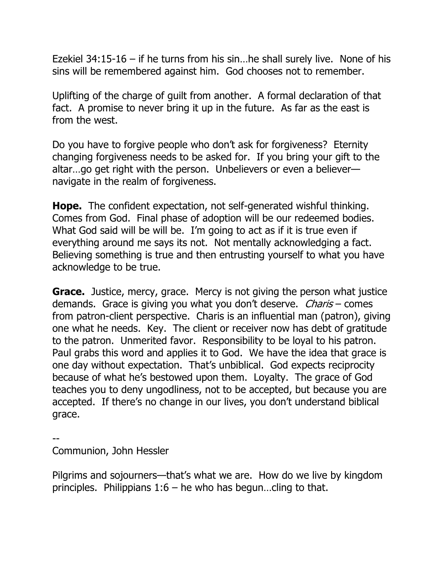Ezekiel 34:15-16 – if he turns from his sin…he shall surely live. None of his sins will be remembered against him. God chooses not to remember.

Uplifting of the charge of guilt from another. A formal declaration of that fact. A promise to never bring it up in the future. As far as the east is from the west.

Do you have to forgive people who don't ask for forgiveness? Eternity changing forgiveness needs to be asked for. If you bring your gift to the altar...go get right with the person. Unbelievers or even a believernavigate in the realm of forgiveness.

**Hope.** The confident expectation, not self-generated wishful thinking. Comes from God. Final phase of adoption will be our redeemed bodies. What God said will be will be. I'm going to act as if it is true even if everything around me says its not. Not mentally acknowledging a fact. Believing something is true and then entrusting yourself to what you have acknowledge to be true.

**Grace.** Justice, mercy, grace. Mercy is not giving the person what justice demands. Grace is giving you what you don't deserve. *Charis* – comes from patron-client perspective. Charis is an influential man (patron), giving one what he needs. Key. The client or receiver now has debt of gratitude to the patron. Unmerited favor. Responsibility to be loyal to his patron. Paul grabs this word and applies it to God. We have the idea that grace is one day without expectation. That's unbiblical. God expects reciprocity because of what he's bestowed upon them. Loyalty. The grace of God teaches you to deny ungodliness, not to be accepted, but because you are accepted. If there's no change in our lives, you don't understand biblical grace.

--

Communion, John Hessler

Pilgrims and sojourners—that's what we are. How do we live by kingdom principles. Philippians  $1:6 -$  he who has begun...cling to that.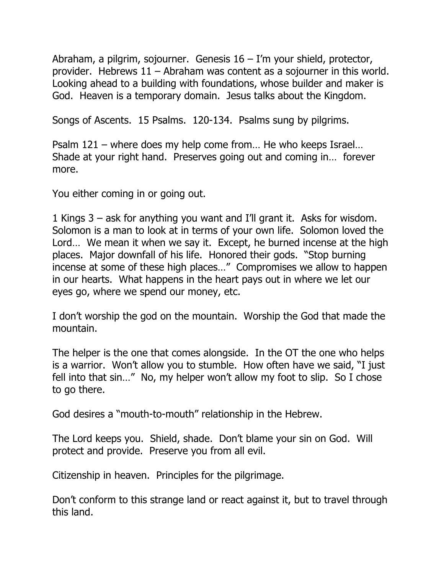Abraham, a pilgrim, sojourner. Genesis 16 – I'm your shield, protector, provider. Hebrews 11 – Abraham was content as a sojourner in this world. Looking ahead to a building with foundations, whose builder and maker is God. Heaven is a temporary domain. Jesus talks about the Kingdom.

Songs of Ascents. 15 Psalms. 120-134. Psalms sung by pilgrims.

Psalm 121 – where does my help come from… He who keeps Israel… Shade at your right hand. Preserves going out and coming in… forever more.

You either coming in or going out.

1 Kings 3 – ask for anything you want and I'll grant it. Asks for wisdom. Solomon is a man to look at in terms of your own life. Solomon loved the Lord… We mean it when we say it. Except, he burned incense at the high places. Major downfall of his life. Honored their gods. "Stop burning incense at some of these high places…" Compromises we allow to happen in our hearts. What happens in the heart pays out in where we let our eyes go, where we spend our money, etc.

I don't worship the god on the mountain. Worship the God that made the mountain.

The helper is the one that comes alongside. In the OT the one who helps is a warrior. Won't allow you to stumble. How often have we said, "I just fell into that sin…" No, my helper won't allow my foot to slip. So I chose to go there.

God desires a "mouth-to-mouth" relationship in the Hebrew.

The Lord keeps you. Shield, shade. Don't blame your sin on God. Will protect and provide. Preserve you from all evil.

Citizenship in heaven. Principles for the pilgrimage.

Don't conform to this strange land or react against it, but to travel through this land.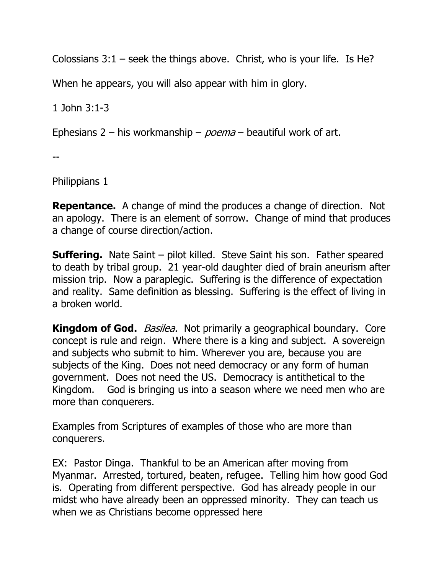Colossians  $3:1$  – seek the things above. Christ, who is your life. Is He?

When he appears, you will also appear with him in glory.

1 John 3:1-3

Ephesians 2 – his workmanship –  $poema$  – beautiful work of art.

--

Philippians 1

**Repentance.** A change of mind the produces a change of direction. Not an apology. There is an element of sorrow. Change of mind that produces a change of course direction/action.

**Suffering.** Nate Saint – pilot killed. Steve Saint his son. Father speared to death by tribal group. 21 year-old daughter died of brain aneurism after mission trip. Now a paraplegic. Suffering is the difference of expectation and reality. Same definition as blessing. Suffering is the effect of living in a broken world.

**Kingdom of God.** *Basilea.* Not primarily a geographical boundary. Core concept is rule and reign. Where there is a king and subject. A sovereign and subjects who submit to him. Wherever you are, because you are subjects of the King. Does not need democracy or any form of human government. Does not need the US. Democracy is antithetical to the Kingdom. God is bringing us into a season where we need men who are more than conquerers.

Examples from Scriptures of examples of those who are more than conquerers.

EX: Pastor Dinga. Thankful to be an American after moving from Myanmar. Arrested, tortured, beaten, refugee. Telling him how good God is. Operating from different perspective. God has already people in our midst who have already been an oppressed minority. They can teach us when we as Christians become oppressed here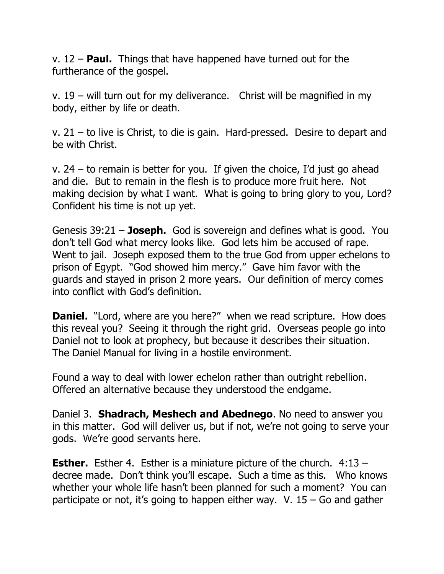v. 12 – **Paul.** Things that have happened have turned out for the furtherance of the gospel.

v. 19 – will turn out for my deliverance. Christ will be magnified in my body, either by life or death.

v. 21 – to live is Christ, to die is gain. Hard-pressed. Desire to depart and be with Christ.

v. 24 – to remain is better for you. If given the choice, I'd just go ahead and die. But to remain in the flesh is to produce more fruit here. Not making decision by what I want. What is going to bring glory to you, Lord? Confident his time is not up yet.

Genesis 39:21 – **Joseph.** God is sovereign and defines what is good. You don't tell God what mercy looks like. God lets him be accused of rape. Went to jail. Joseph exposed them to the true God from upper echelons to prison of Egypt. "God showed him mercy." Gave him favor with the guards and stayed in prison 2 more years. Our definition of mercy comes into conflict with God's definition.

**Daniel.** "Lord, where are you here?" when we read scripture. How does this reveal you? Seeing it through the right grid. Overseas people go into Daniel not to look at prophecy, but because it describes their situation. The Daniel Manual for living in a hostile environment.

Found a way to deal with lower echelon rather than outright rebellion. Offered an alternative because they understood the endgame.

Daniel 3. **Shadrach, Meshech and Abednego**. No need to answer you in this matter. God will deliver us, but if not, we're not going to serve your gods. We're good servants here.

**Esther.** Esther 4. Esther is a miniature picture of the church. 4:13 – decree made. Don't think you'll escape. Such a time as this. Who knows whether your whole life hasn't been planned for such a moment? You can participate or not, it's going to happen either way. V.  $15 -$  Go and gather